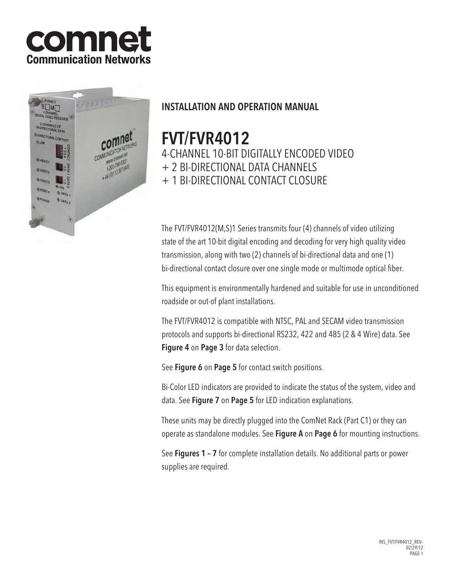# comne **Communication Networks**



# INSTALLATION AND OPERATION MANUAL

# FVT/FVR4012

4-channel 10-Bit digitally encoded video

+ 2 BI-DIRECTIONAL DATA CHANNELS

+ 1 bi-directional contact closure

The FVT/FVR4012(M,S)1 Series transmits four (4) channels of video utilizing state of the art 10-bit digital encoding and decoding for very high quality video transmission, along with two (2) channels of bi-directional data and one (1) bi-directional contact closure over one single mode or multimode optical fiber.

This equipment is environmentally hardened and suitable for use in unconditioned roadside or out-of plant installations.

The FVT/FVR4012 is compatible with NTSC, PAL and SECAM video transmission protocols and supports bi-directional RS232, 422 and 485 (2 & 4 Wire) data. See Figure 4 on Page 3 for data selection.

See Figure 6 on Page 5 for contact switch positions.

Bi-Color LED indicators are provided to indicate the status of the system, video and data. See Figure 7 on Page 5 for LED indication explanations.

These units may be directly plugged into the ComNet Rack (Part C1) or they can operate as standalone modules. See Figure A on Page 6 for mounting instructions.

See Figures 1 – 7 for complete installation details. No additional parts or power supplies are required.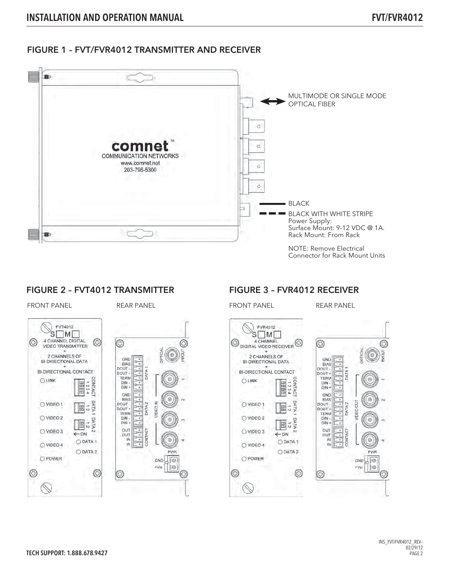## FIGURE 1 – FVT/FVR4012 TRANSMITTER AND RECEIVER



#### FIGURE 2 – FVT4012 TRANSMITTER

FRONT PANEL REAR PANEL REAR PANEL FRONT PANEL REAR PANEL



## FIGURE 3 – FVR4012 RECEIVER

⊙

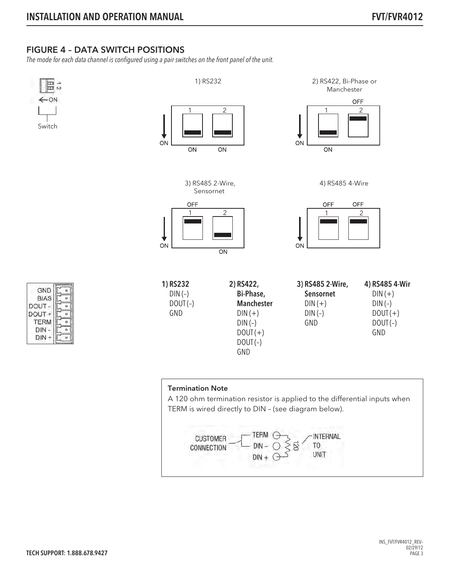## FIGURE 4 – DATA SWITCH POSITIONS

The mode for each data channel is configured using a pair switches on the front panel of the unit.

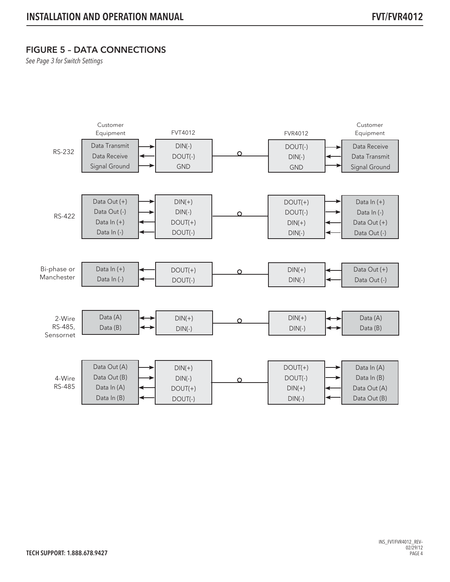## FIGURE 5 – DATA CONNECTIONS

See Page 3 for Switch Settings

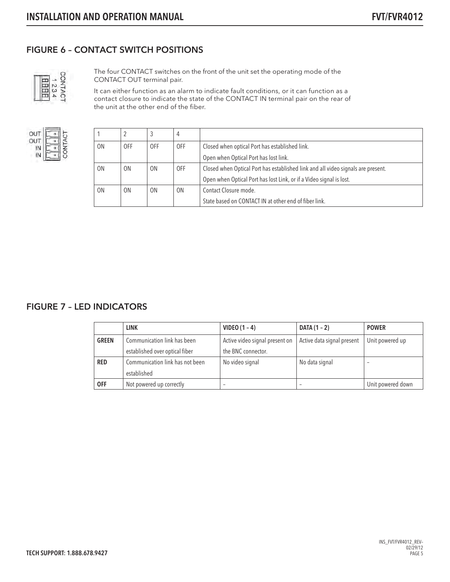## FIGURE 6 – CONTACT SWITCH POSITIONS



The four CONTACT switches on the front of the unit set the operating mode of the CONTACT OUT terminal pair.

It can either function as an alarm to indicate fault conditions, or it can function as a contact closure to indicate the state of the CONTACT IN terminal pair on the rear of the unit at the other end of the fiber.



|                |                | 3          | 4          |                                                                                  |  |  |
|----------------|----------------|------------|------------|----------------------------------------------------------------------------------|--|--|
| 0 <sub>N</sub> | 0FF            | <b>OFF</b> | <b>OFF</b> | Closed when optical Port has established link.                                   |  |  |
|                |                |            |            | Open when Optical Port has lost link.                                            |  |  |
| 0 <sub>N</sub> | 0N             | 0N         | <b>OFF</b> | Closed when Optical Port has established link and all video signals are present. |  |  |
|                |                |            |            | Open when Optical Port has lost Link, or if a Video signal is lost.              |  |  |
| 0 <sub>N</sub> | 0 <sub>N</sub> | 0N         | 0N         | Contact Closure mode.                                                            |  |  |
|                |                |            |            | State based on CONTACT IN at other end of fiber link.                            |  |  |

#### FIGURE 7 – LED INDICATORS

|              | <b>LINK</b>                     | VIDEO $(1 - 4)$                | DATA (1 – 2)               | <b>POWER</b>      |
|--------------|---------------------------------|--------------------------------|----------------------------|-------------------|
| <b>GREEN</b> | Communication link has been     | Active video signal present on | Active data signal present | Unit powered up   |
|              | established over optical fiber  | the BNC connector.             |                            |                   |
| <b>RED</b>   | Communication link has not been | No video signal                | No data signal             | -                 |
|              | established                     |                                |                            |                   |
| <b>OFF</b>   | Not powered up correctly        | $\overline{\phantom{a}}$       |                            | Unit powered down |